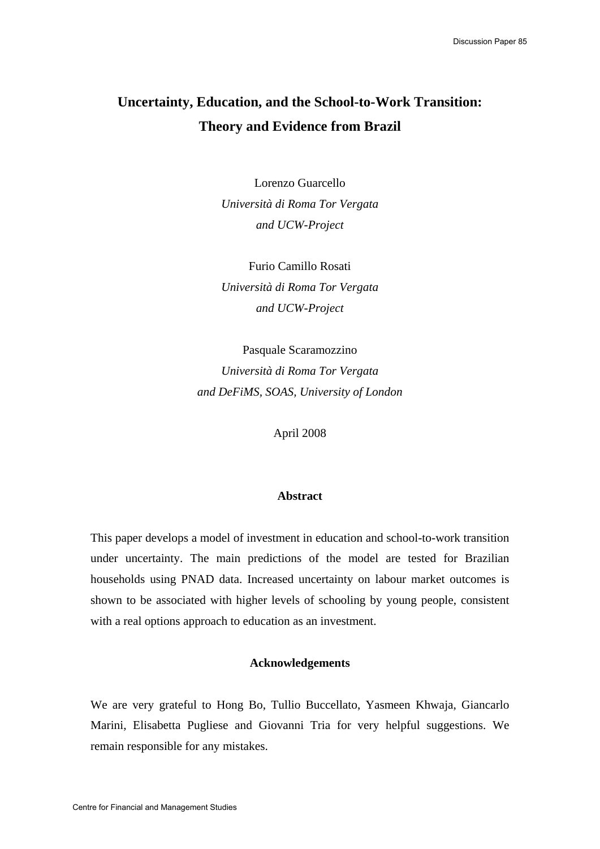# **Uncertainty, Education, and the School-to-Work Transition: Theory and Evidence from Brazil**

Lorenzo Guarcello *Università di Roma Tor Vergata and UCW-Project* 

Furio Camillo Rosati *Università di Roma Tor Vergata and UCW-Project* 

Pasquale Scaramozzino *Università di Roma Tor Vergata and DeFiMS, SOAS, University of London* 

April 2008

### **Abstract**

This paper develops a model of investment in education and school-to-work transition under uncertainty. The main predictions of the model are tested for Brazilian households using PNAD data. Increased uncertainty on labour market outcomes is shown to be associated with higher levels of schooling by young people, consistent with a real options approach to education as an investment.

### **Acknowledgements**

We are very grateful to Hong Bo, Tullio Buccellato, Yasmeen Khwaja, Giancarlo Marini, Elisabetta Pugliese and Giovanni Tria for very helpful suggestions. We remain responsible for any mistakes.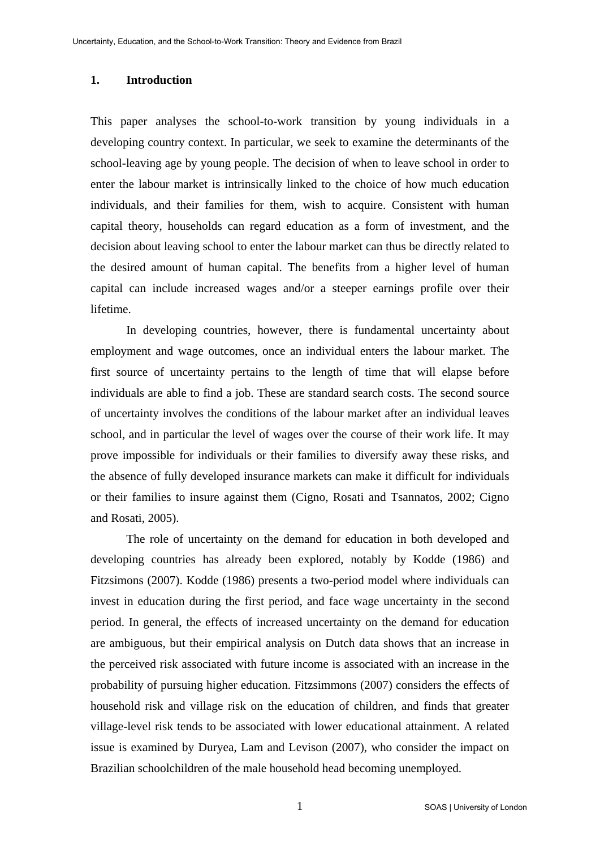### **1. Introduction**

This paper analyses the school-to-work transition by young individuals in a developing country context. In particular, we seek to examine the determinants of the school-leaving age by young people. The decision of when to leave school in order to enter the labour market is intrinsically linked to the choice of how much education individuals, and their families for them, wish to acquire. Consistent with human capital theory, households can regard education as a form of investment, and the decision about leaving school to enter the labour market can thus be directly related to the desired amount of human capital. The benefits from a higher level of human capital can include increased wages and/or a steeper earnings profile over their lifetime.

 In developing countries, however, there is fundamental uncertainty about employment and wage outcomes, once an individual enters the labour market. The first source of uncertainty pertains to the length of time that will elapse before individuals are able to find a job. These are standard search costs. The second source of uncertainty involves the conditions of the labour market after an individual leaves school, and in particular the level of wages over the course of their work life. It may prove impossible for individuals or their families to diversify away these risks, and the absence of fully developed insurance markets can make it difficult for individuals or their families to insure against them (Cigno, Rosati and Tsannatos, 2002; Cigno and Rosati, 2005).

 The role of uncertainty on the demand for education in both developed and developing countries has already been explored, notably by Kodde (1986) and Fitzsimons (2007). Kodde (1986) presents a two-period model where individuals can invest in education during the first period, and face wage uncertainty in the second period. In general, the effects of increased uncertainty on the demand for education are ambiguous, but their empirical analysis on Dutch data shows that an increase in the perceived risk associated with future income is associated with an increase in the probability of pursuing higher education. Fitzsimmons (2007) considers the effects of household risk and village risk on the education of children, and finds that greater village-level risk tends to be associated with lower educational attainment. A related issue is examined by Duryea, Lam and Levison (2007), who consider the impact on Brazilian schoolchildren of the male household head becoming unemployed.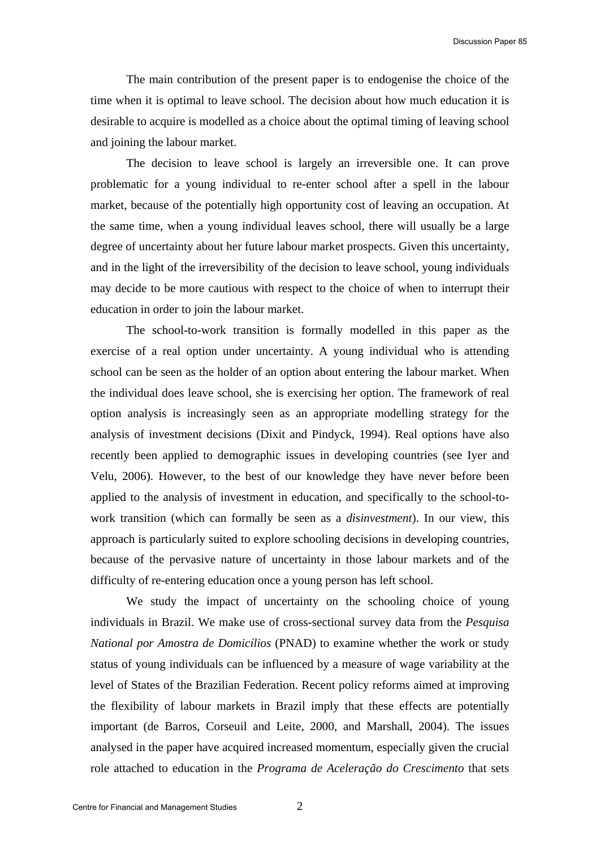The main contribution of the present paper is to endogenise the choice of the time when it is optimal to leave school. The decision about how much education it is desirable to acquire is modelled as a choice about the optimal timing of leaving school and joining the labour market.

 The decision to leave school is largely an irreversible one. It can prove problematic for a young individual to re-enter school after a spell in the labour market, because of the potentially high opportunity cost of leaving an occupation. At the same time, when a young individual leaves school, there will usually be a large degree of uncertainty about her future labour market prospects. Given this uncertainty, and in the light of the irreversibility of the decision to leave school, young individuals may decide to be more cautious with respect to the choice of when to interrupt their education in order to join the labour market.

 The school-to-work transition is formally modelled in this paper as the exercise of a real option under uncertainty. A young individual who is attending school can be seen as the holder of an option about entering the labour market. When the individual does leave school, she is exercising her option. The framework of real option analysis is increasingly seen as an appropriate modelling strategy for the analysis of investment decisions (Dixit and Pindyck, 1994). Real options have also recently been applied to demographic issues in developing countries (see Iyer and Velu, 2006). However, to the best of our knowledge they have never before been applied to the analysis of investment in education, and specifically to the school-towork transition (which can formally be seen as a *disinvestment*). In our view, this approach is particularly suited to explore schooling decisions in developing countries, because of the pervasive nature of uncertainty in those labour markets and of the difficulty of re-entering education once a young person has left school.

 We study the impact of uncertainty on the schooling choice of young individuals in Brazil. We make use of cross-sectional survey data from the *Pesquisa National por Amostra de Domicílios* (PNAD) to examine whether the work or study status of young individuals can be influenced by a measure of wage variability at the level of States of the Brazilian Federation. Recent policy reforms aimed at improving the flexibility of labour markets in Brazil imply that these effects are potentially important (de Barros, Corseuil and Leite, 2000, and Marshall, 2004). The issues analysed in the paper have acquired increased momentum, especially given the crucial role attached to education in the *Programa de Aceleração do Crescimento* that sets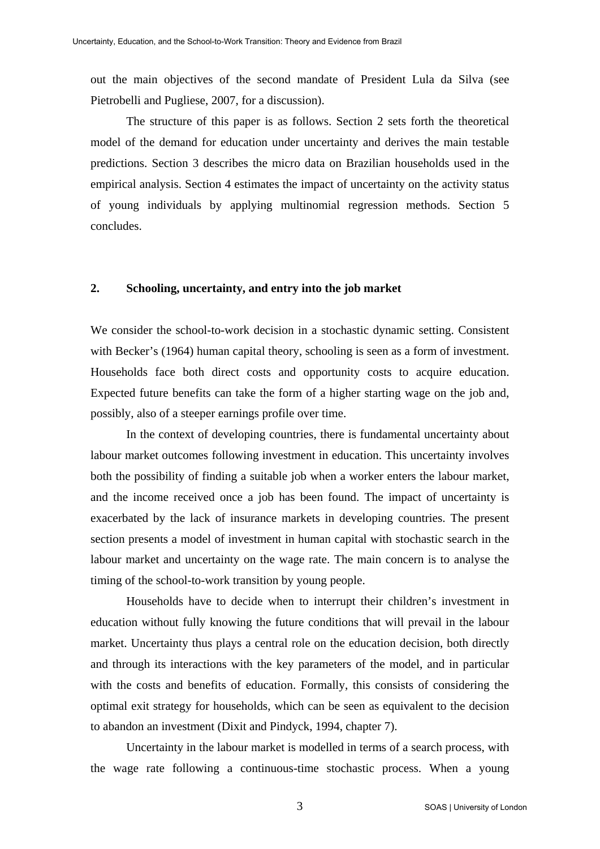out the main objectives of the second mandate of President Lula da Silva (see Pietrobelli and Pugliese, 2007, for a discussion).

 The structure of this paper is as follows. Section 2 sets forth the theoretical model of the demand for education under uncertainty and derives the main testable predictions. Section 3 describes the micro data on Brazilian households used in the empirical analysis. Section 4 estimates the impact of uncertainty on the activity status of young individuals by applying multinomial regression methods. Section 5 concludes.

### **2. Schooling, uncertainty, and entry into the job market**

We consider the school-to-work decision in a stochastic dynamic setting. Consistent with Becker's (1964) human capital theory, schooling is seen as a form of investment. Households face both direct costs and opportunity costs to acquire education. Expected future benefits can take the form of a higher starting wage on the job and, possibly, also of a steeper earnings profile over time.

 In the context of developing countries, there is fundamental uncertainty about labour market outcomes following investment in education. This uncertainty involves both the possibility of finding a suitable job when a worker enters the labour market, and the income received once a job has been found. The impact of uncertainty is exacerbated by the lack of insurance markets in developing countries. The present section presents a model of investment in human capital with stochastic search in the labour market and uncertainty on the wage rate. The main concern is to analyse the timing of the school-to-work transition by young people.

 Households have to decide when to interrupt their children's investment in education without fully knowing the future conditions that will prevail in the labour market. Uncertainty thus plays a central role on the education decision, both directly and through its interactions with the key parameters of the model, and in particular with the costs and benefits of education. Formally, this consists of considering the optimal exit strategy for households, which can be seen as equivalent to the decision to abandon an investment (Dixit and Pindyck, 1994, chapter 7).

 Uncertainty in the labour market is modelled in terms of a search process, with the wage rate following a continuous-time stochastic process. When a young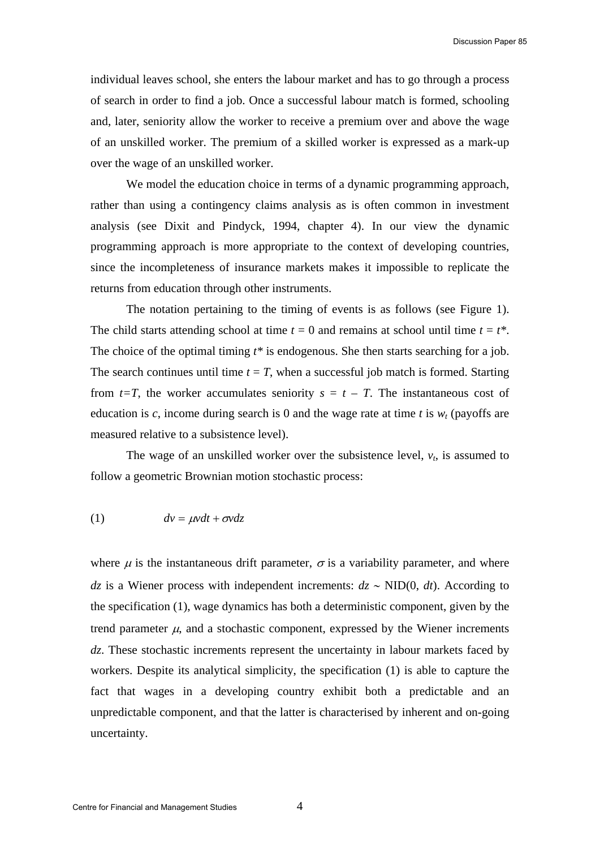individual leaves school, she enters the labour market and has to go through a process of search in order to find a job. Once a successful labour match is formed, schooling and, later, seniority allow the worker to receive a premium over and above the wage of an unskilled worker. The premium of a skilled worker is expressed as a mark-up over the wage of an unskilled worker.

We model the education choice in terms of a dynamic programming approach, rather than using a contingency claims analysis as is often common in investment analysis (see Dixit and Pindyck, 1994, chapter 4). In our view the dynamic programming approach is more appropriate to the context of developing countries, since the incompleteness of insurance markets makes it impossible to replicate the returns from education through other instruments.

 The notation pertaining to the timing of events is as follows (see Figure 1). The child starts attending school at time  $t = 0$  and remains at school until time  $t = t^*$ . The choice of the optimal timing *t\** is endogenous. She then starts searching for a job. The search continues until time  $t = T$ , when a successful job match is formed. Starting from  $t=T$ , the worker accumulates seniority  $s = t - T$ . The instantaneous cost of education is *c*, income during search is 0 and the wage rate at time *t* is  $w_t$  (payoffs are measured relative to a subsistence level).

The wage of an unskilled worker over the subsistence level,  $v_t$ , is assumed to follow a geometric Brownian motion stochastic process:

$$
(1) \t dv = \mu v dt + \sigma v dz
$$

where  $\mu$  is the instantaneous drift parameter,  $\sigma$  is a variability parameter, and where *dz* is a Wiener process with independent increments:  $dz$  ∼ NID(0, *dt*). According to the specification (1), wage dynamics has both a deterministic component, given by the trend parameter  $\mu$ , and a stochastic component, expressed by the Wiener increments dz. These stochastic increments represent the uncertainty in labour markets faced by workers. Despite its analytical simplicity, the specification (1) is able to capture the fact that wages in a developing country exhibit both a predictable and an unpredictable component, and that the latter is characterised by inherent and on-going uncertainty.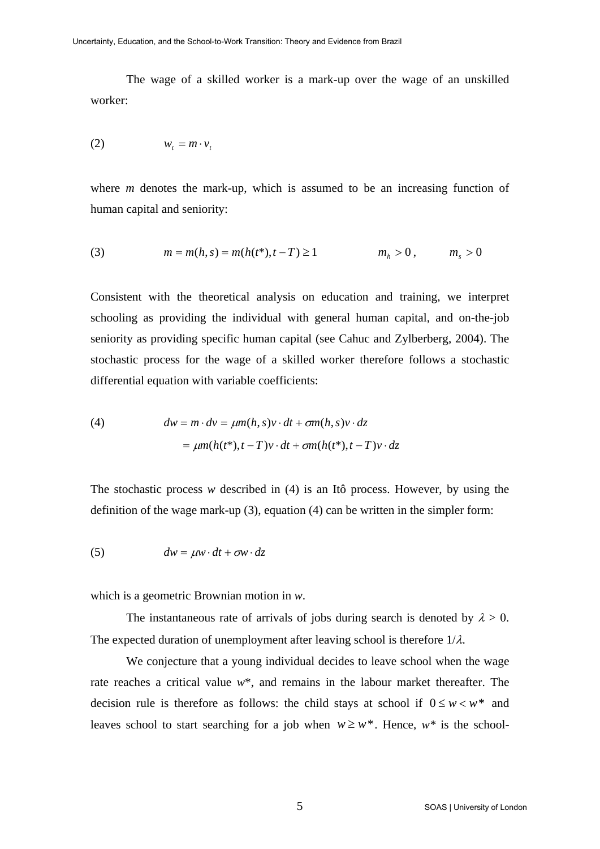The wage of a skilled worker is a mark-up over the wage of an unskilled worker:

$$
(2) \t\t w_t = m \cdot v_t
$$

where *m* denotes the mark-up, which is assumed to be an increasing function of human capital and seniority:

(3) 
$$
m = m(h, s) = m(h(t^*), t - T) \ge 1
$$
  $m_h > 0$ ,  $m_s > 0$ 

Consistent with the theoretical analysis on education and training, we interpret schooling as providing the individual with general human capital, and on-the-job seniority as providing specific human capital (see Cahuc and Zylberberg, 2004). The stochastic process for the wage of a skilled worker therefore follows a stochastic differential equation with variable coefficients:

(4) 
$$
dw = m \cdot dv = \mu m(h, s)v \cdot dt + \sigma m(h, s)v \cdot dz
$$

$$
= \mu m(h(t^*), t - T)v \cdot dt + \sigma m(h(t^*), t - T)v \cdot dz
$$

The stochastic process *w* described in (4) is an Itô process. However, by using the definition of the wage mark-up (3), equation (4) can be written in the simpler form:

(5) 
$$
dw = \mu w \cdot dt + \sigma w \cdot dz
$$

which is a geometric Brownian motion in *w*.

The instantaneous rate of arrivals of jobs during search is denoted by  $\lambda > 0$ . The expected duration of unemployment after leaving school is therefore  $1/\lambda$ .

 We conjecture that a young individual decides to leave school when the wage rate reaches a critical value *w*\*, and remains in the labour market thereafter. The decision rule is therefore as follows: the child stays at school if  $0 \le w \le w^*$  and leaves school to start searching for a job when  $w \geq w^*$ . Hence,  $w^*$  is the school-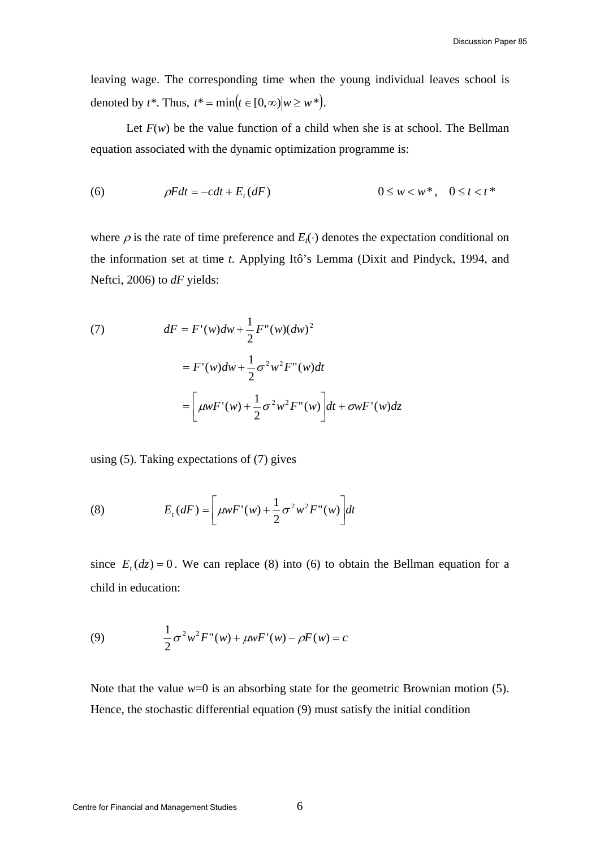leaving wage. The corresponding time when the young individual leaves school is denoted by  $t^*$ . Thus,  $t^* = \min(t \in [0, \infty) | w \geq w^*).$ 

Let  $F(w)$  be the value function of a child when she is at school. The Bellman equation associated with the dynamic optimization programme is:

(6) 
$$
\rho Fdt = -cdt + E_t(dF) \qquad \qquad 0 \le w < w^*, \quad 0 \le t < t^*
$$

where  $\rho$  is the rate of time preference and  $E_t(\cdot)$  denotes the expectation conditional on the information set at time *t*. Applying Itô's Lemma (Dixit and Pindyck, 1994, and Neftci, 2006) to *dF* yields:

(7) 
$$
dF = F'(w)dw + \frac{1}{2}F''(w)(dw)^2
$$

$$
= F'(w)dw + \frac{1}{2}\sigma^2w^2F''(w)dt
$$

$$
= \left[\mu wF'(w) + \frac{1}{2}\sigma^2w^2F''(w)\right]dt + \sigma wF'(w)dz
$$

using (5). Taking expectations of (7) gives

(8) 
$$
E_t(dF) = \left[\mu w F'(w) + \frac{1}{2}\sigma^2 w^2 F''(w)\right] dt
$$

since  $E_t$  ( $dz$ ) = 0. We can replace (8) into (6) to obtain the Bellman equation for a child in education:

(9) 
$$
\frac{1}{2}\sigma^2 w^2 F''(w) + \mu w F'(w) - \rho F(w) = c
$$

Note that the value *w*=0 is an absorbing state for the geometric Brownian motion (5). Hence, the stochastic differential equation (9) must satisfy the initial condition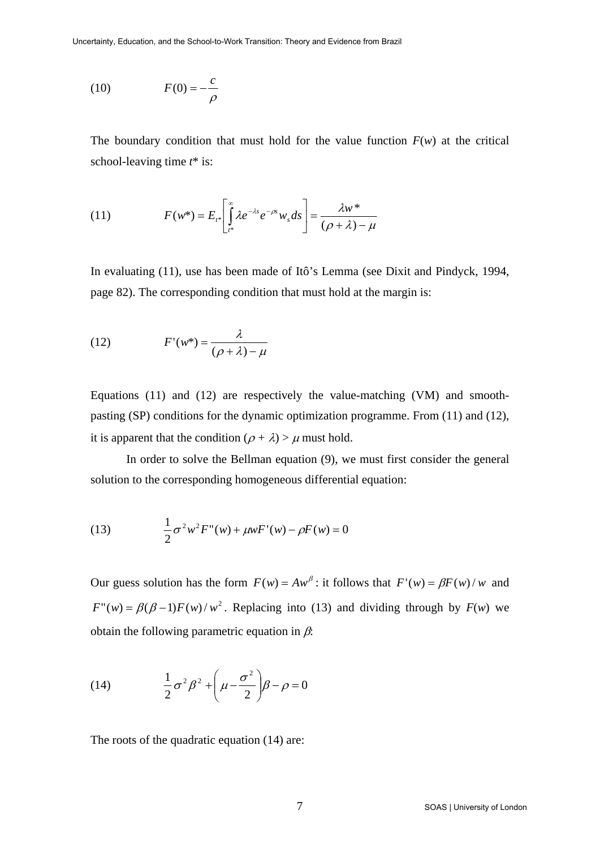$$
(10) \t\t F(0) = -\frac{c}{\rho}
$$

The boundary condition that must hold for the value function  $F(w)$  at the critical school-leaving time *t*\* is:

(11) 
$$
F(w^*) = E_{t^*} \left[ \int_{t^*}^{\infty} \lambda e^{-\lambda s} e^{-\rho s} w_s ds \right] = \frac{\lambda w^*}{(\rho + \lambda) - \mu}
$$

In evaluating (11), use has been made of Itô's Lemma (see Dixit and Pindyck, 1994, page 82). The corresponding condition that must hold at the margin is:

(12) 
$$
F'(w^*) = \frac{\lambda}{(\rho + \lambda) - \mu}
$$

Equations (11) and (12) are respectively the value-matching (VM) and smoothpasting (SP) conditions for the dynamic optimization programme. From (11) and (12), it is apparent that the condition  $(\rho + \lambda) > \mu$  must hold.

 In order to solve the Bellman equation (9), we must first consider the general solution to the corresponding homogeneous differential equation:

(13) 
$$
\frac{1}{2}\sigma^2 w^2 F''(w) + \mu w F'(w) - \rho F(w) = 0
$$

Our guess solution has the form  $F(w) = Aw^{\beta}$ : it follows that  $F'(w) = \beta F(w)/w$  and  $F''(w) = \beta(\beta - 1)F(w)/w^2$ . Replacing into (13) and dividing through by  $F(w)$  we obtain the following parametric equation in  $\beta$ :

(14) 
$$
\frac{1}{2}\sigma^2\beta^2 + \left(\mu - \frac{\sigma^2}{2}\right)\beta - \rho = 0
$$

The roots of the quadratic equation (14) are: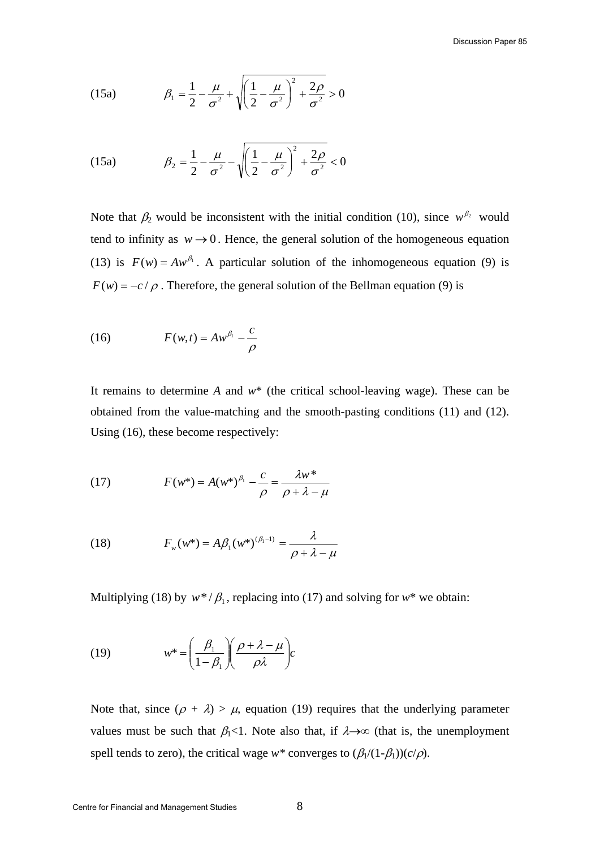(15a) 
$$
\beta_1 = \frac{1}{2} - \frac{\mu}{\sigma^2} + \sqrt{\left(\frac{1}{2} - \frac{\mu}{\sigma^2}\right)^2 + \frac{2\rho}{\sigma^2}} > 0
$$

(15a) 
$$
\beta_2 = \frac{1}{2} - \frac{\mu}{\sigma^2} - \sqrt{\left(\frac{1}{2} - \frac{\mu}{\sigma^2}\right)^2 + \frac{2\rho}{\sigma^2}} < 0
$$

Note that  $\beta_2$  would be inconsistent with the initial condition (10), since  $w^{\beta_2}$  would tend to infinity as  $w \rightarrow 0$ . Hence, the general solution of the homogeneous equation (13) is  $F(w) = Aw^{\beta_1}$ . A particular solution of the inhomogeneous equation (9) is  $F(w) = -c/\rho$ . Therefore, the general solution of the Bellman equation (9) is

(16) 
$$
F(w,t) = Aw^{\beta_1} - \frac{c}{\rho}
$$

It remains to determine *A* and *w*\* (the critical school-leaving wage). These can be obtained from the value-matching and the smooth-pasting conditions (11) and (12). Using (16), these become respectively:

(17) 
$$
F(w^*) = A(w^*)^{\beta_1} - \frac{c}{\rho} = \frac{\lambda w^*}{\rho + \lambda - \mu}
$$

(18) 
$$
F_w(w^*) = A\beta_1(w^*)^{(\beta_1-1)} = \frac{\lambda}{\rho + \lambda - \mu}
$$

Multiplying (18) by  $w^*/\beta_1$ , replacing into (17) and solving for  $w^*$  we obtain:

(19) 
$$
w^* = \left(\frac{\beta_1}{1-\beta_1}\right)\left(\frac{\rho+\lambda-\mu}{\rho\lambda}\right)c
$$

Note that, since  $(\rho + \lambda) > \mu$ , equation (19) requires that the underlying parameter values must be such that  $\beta_1$ <1. Note also that, if  $\lambda \rightarrow \infty$  (that is, the unemployment spell tends to zero), the critical wage  $w^*$  converges to  $(\beta_1/(1-\beta_1))(c/\rho)$ .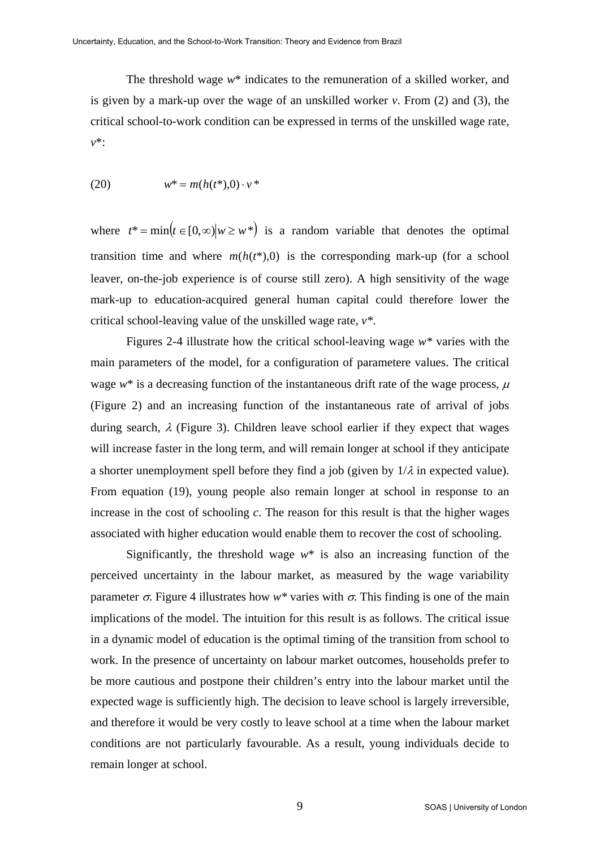The threshold wage *w*\* indicates to the remuneration of a skilled worker, and is given by a mark-up over the wage of an unskilled worker *v*. From (2) and (3), the critical school-to-work condition can be expressed in terms of the unskilled wage rate, *v*\*:

(20) 
$$
w^* = m(h(t^*), 0) \cdot v^*
$$

where  $t^* = \min(t \in [0,\infty] | w \geq w^*)$  is a random variable that denotes the optimal transition time and where  $m(h(t^*),0)$  is the corresponding mark-up (for a school leaver, on-the-job experience is of course still zero). A high sensitivity of the wage mark-up to education-acquired general human capital could therefore lower the critical school-leaving value of the unskilled wage rate, *v\**.

 Figures 2-4 illustrate how the critical school-leaving wage *w\** varies with the main parameters of the model, for a configuration of parametere values. The critical wage  $w^*$  is a decreasing function of the instantaneous drift rate of the wage process,  $\mu$ (Figure 2) and an increasing function of the instantaneous rate of arrival of jobs during search,  $\lambda$  (Figure 3). Children leave school earlier if they expect that wages will increase faster in the long term, and will remain longer at school if they anticipate a shorter unemployment spell before they find a job (given by  $1/\lambda$  in expected value). From equation (19), young people also remain longer at school in response to an increase in the cost of schooling *c*. The reason for this result is that the higher wages associated with higher education would enable them to recover the cost of schooling.

Significantly, the threshold wage  $w^*$  is also an increasing function of the perceived uncertainty in the labour market, as measured by the wage variability parameter  $\sigma$ . Figure 4 illustrates how *w*<sup>\*</sup> varies with  $\sigma$ . This finding is one of the main implications of the model. The intuition for this result is as follows. The critical issue in a dynamic model of education is the optimal timing of the transition from school to work. In the presence of uncertainty on labour market outcomes, households prefer to be more cautious and postpone their children's entry into the labour market until the expected wage is sufficiently high. The decision to leave school is largely irreversible, and therefore it would be very costly to leave school at a time when the labour market conditions are not particularly favourable. As a result, young individuals decide to remain longer at school.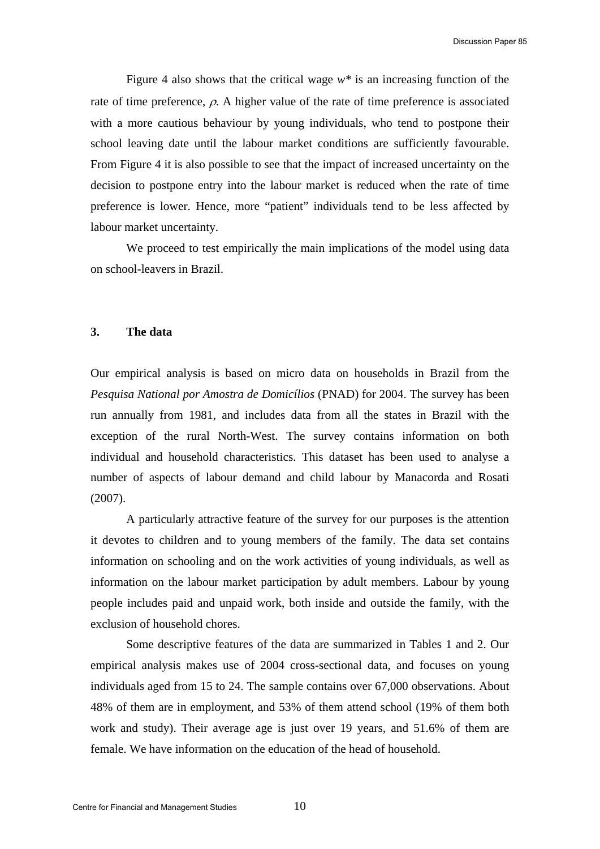Figure 4 also shows that the critical wage *w\** is an increasing function of the rate of time preference,  $\rho$ . A higher value of the rate of time preference is associated with a more cautious behaviour by young individuals, who tend to postpone their school leaving date until the labour market conditions are sufficiently favourable. From Figure 4 it is also possible to see that the impact of increased uncertainty on the decision to postpone entry into the labour market is reduced when the rate of time preference is lower. Hence, more "patient" individuals tend to be less affected by labour market uncertainty.

 We proceed to test empirically the main implications of the model using data on school-leavers in Brazil.

#### **3. The data**

Our empirical analysis is based on micro data on households in Brazil from the *Pesquisa National por Amostra de Domicílios* (PNAD) for 2004. The survey has been run annually from 1981, and includes data from all the states in Brazil with the exception of the rural North-West. The survey contains information on both individual and household characteristics. This dataset has been used to analyse a number of aspects of labour demand and child labour by Manacorda and Rosati (2007).

 A particularly attractive feature of the survey for our purposes is the attention it devotes to children and to young members of the family. The data set contains information on schooling and on the work activities of young individuals, as well as information on the labour market participation by adult members. Labour by young people includes paid and unpaid work, both inside and outside the family, with the exclusion of household chores.

 Some descriptive features of the data are summarized in Tables 1 and 2. Our empirical analysis makes use of 2004 cross-sectional data, and focuses on young individuals aged from 15 to 24. The sample contains over 67,000 observations. About 48% of them are in employment, and 53% of them attend school (19% of them both work and study). Their average age is just over 19 years, and 51.6% of them are female. We have information on the education of the head of household.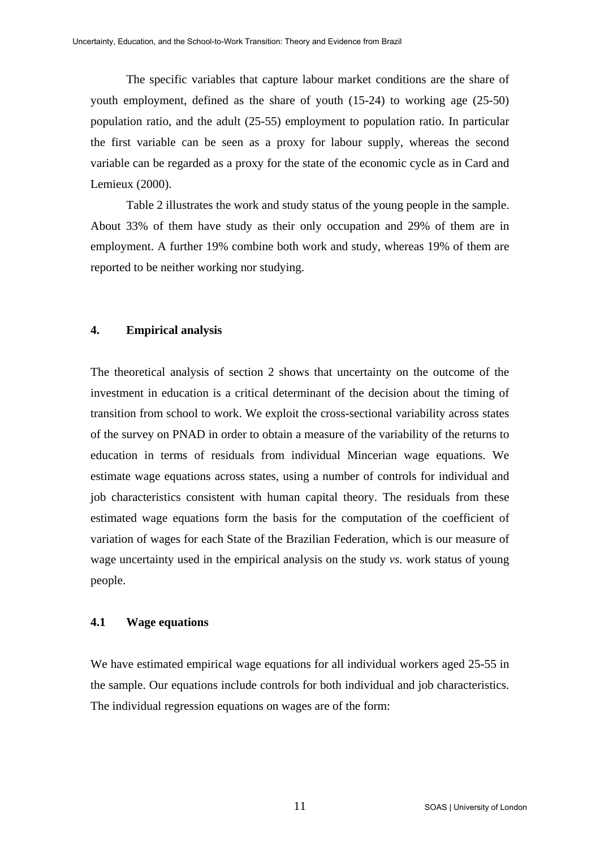The specific variables that capture labour market conditions are the share of youth employment, defined as the share of youth (15-24) to working age (25-50) population ratio, and the adult (25-55) employment to population ratio. In particular the first variable can be seen as a proxy for labour supply, whereas the second variable can be regarded as a proxy for the state of the economic cycle as in Card and Lemieux (2000).

 Table 2 illustrates the work and study status of the young people in the sample. About 33% of them have study as their only occupation and 29% of them are in employment. A further 19% combine both work and study, whereas 19% of them are reported to be neither working nor studying.

### **4. Empirical analysis**

The theoretical analysis of section 2 shows that uncertainty on the outcome of the investment in education is a critical determinant of the decision about the timing of transition from school to work. We exploit the cross-sectional variability across states of the survey on PNAD in order to obtain a measure of the variability of the returns to education in terms of residuals from individual Mincerian wage equations. We estimate wage equations across states, using a number of controls for individual and job characteristics consistent with human capital theory. The residuals from these estimated wage equations form the basis for the computation of the coefficient of variation of wages for each State of the Brazilian Federation, which is our measure of wage uncertainty used in the empirical analysis on the study *vs.* work status of young people.

### **4.1 Wage equations**

We have estimated empirical wage equations for all individual workers aged 25-55 in the sample. Our equations include controls for both individual and job characteristics. The individual regression equations on wages are of the form: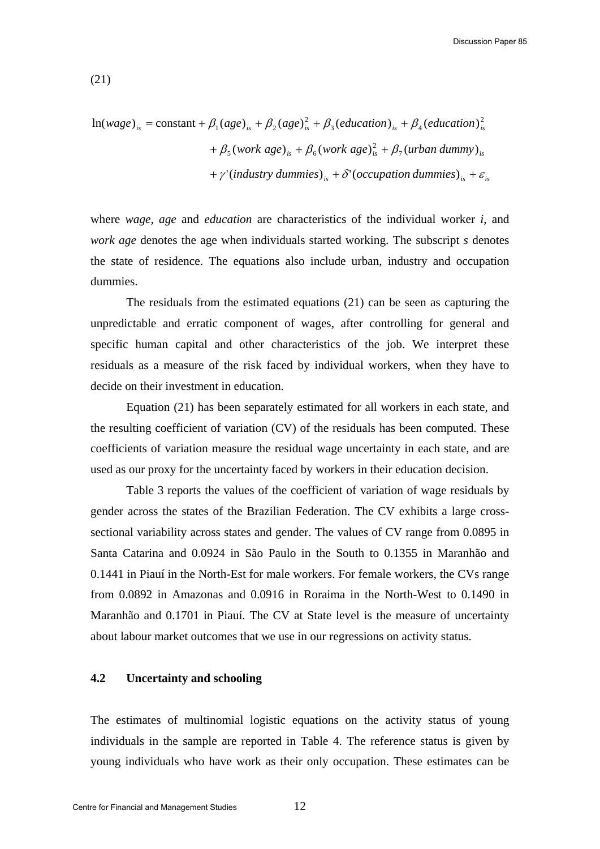(21)

$$
\ln(wage)_{is} = \text{constant} + \beta_1 (age)_{is} + \beta_2 (age)_{is}^2 + \beta_3 (education)_{is} + \beta_4 (education)_{is}^2
$$

$$
+ \beta_5 (work age)_{is} + \beta_6 (work age)_{is}^2 + \beta_7 (urban dummy)_{is}
$$

$$
+ \gamma' (industry \, dummies)_{is} + \delta' (occupation \, dummies)_{is} + \varepsilon_{is}
$$

where *wage*, *age* and *education* are characteristics of the individual worker *i*, and *work age* denotes the age when individuals started working. The subscript *s* denotes the state of residence. The equations also include urban, industry and occupation dummies.

 The residuals from the estimated equations (21) can be seen as capturing the unpredictable and erratic component of wages, after controlling for general and specific human capital and other characteristics of the job. We interpret these residuals as a measure of the risk faced by individual workers, when they have to decide on their investment in education.

 Equation (21) has been separately estimated for all workers in each state, and the resulting coefficient of variation (CV) of the residuals has been computed. These coefficients of variation measure the residual wage uncertainty in each state, and are used as our proxy for the uncertainty faced by workers in their education decision.

 Table 3 reports the values of the coefficient of variation of wage residuals by gender across the states of the Brazilian Federation. The CV exhibits a large crosssectional variability across states and gender. The values of CV range from 0.0895 in Santa Catarina and 0.0924 in São Paulo in the South to 0.1355 in Maranhão and 0.1441 in Piauí in the North-Est for male workers. For female workers, the CVs range from 0.0892 in Amazonas and 0.0916 in Roraima in the North-West to 0.1490 in Maranhão and 0.1701 in Piauí. The CV at State level is the measure of uncertainty about labour market outcomes that we use in our regressions on activity status.

### **4.2 Uncertainty and schooling**

The estimates of multinomial logistic equations on the activity status of young individuals in the sample are reported in Table 4. The reference status is given by young individuals who have work as their only occupation. These estimates can be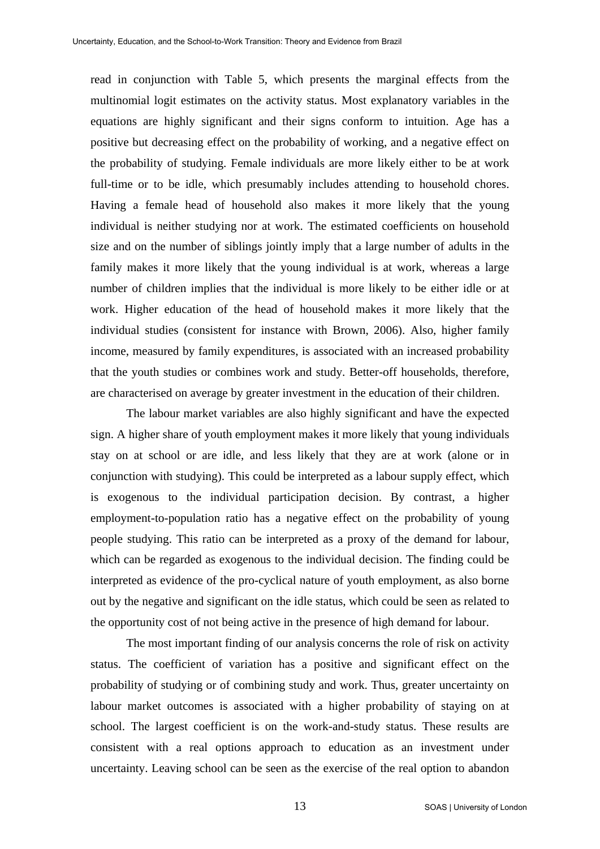read in conjunction with Table 5, which presents the marginal effects from the multinomial logit estimates on the activity status. Most explanatory variables in the equations are highly significant and their signs conform to intuition. Age has a positive but decreasing effect on the probability of working, and a negative effect on the probability of studying. Female individuals are more likely either to be at work full-time or to be idle, which presumably includes attending to household chores. Having a female head of household also makes it more likely that the young individual is neither studying nor at work. The estimated coefficients on household size and on the number of siblings jointly imply that a large number of adults in the family makes it more likely that the young individual is at work, whereas a large number of children implies that the individual is more likely to be either idle or at work. Higher education of the head of household makes it more likely that the individual studies (consistent for instance with Brown, 2006). Also, higher family income, measured by family expenditures, is associated with an increased probability that the youth studies or combines work and study. Better-off households, therefore, are characterised on average by greater investment in the education of their children.

 The labour market variables are also highly significant and have the expected sign. A higher share of youth employment makes it more likely that young individuals stay on at school or are idle, and less likely that they are at work (alone or in conjunction with studying). This could be interpreted as a labour supply effect, which is exogenous to the individual participation decision. By contrast, a higher employment-to-population ratio has a negative effect on the probability of young people studying. This ratio can be interpreted as a proxy of the demand for labour, which can be regarded as exogenous to the individual decision. The finding could be interpreted as evidence of the pro-cyclical nature of youth employment, as also borne out by the negative and significant on the idle status, which could be seen as related to the opportunity cost of not being active in the presence of high demand for labour.

 The most important finding of our analysis concerns the role of risk on activity status. The coefficient of variation has a positive and significant effect on the probability of studying or of combining study and work. Thus, greater uncertainty on labour market outcomes is associated with a higher probability of staying on at school. The largest coefficient is on the work-and-study status. These results are consistent with a real options approach to education as an investment under uncertainty. Leaving school can be seen as the exercise of the real option to abandon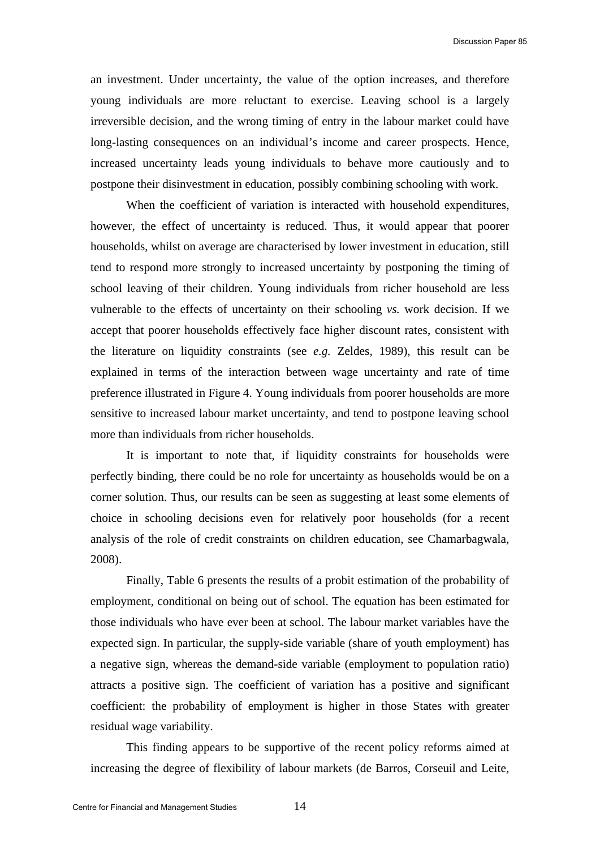an investment. Under uncertainty, the value of the option increases, and therefore young individuals are more reluctant to exercise. Leaving school is a largely irreversible decision, and the wrong timing of entry in the labour market could have long-lasting consequences on an individual's income and career prospects. Hence, increased uncertainty leads young individuals to behave more cautiously and to postpone their disinvestment in education, possibly combining schooling with work.

 When the coefficient of variation is interacted with household expenditures, however, the effect of uncertainty is reduced. Thus, it would appear that poorer households, whilst on average are characterised by lower investment in education, still tend to respond more strongly to increased uncertainty by postponing the timing of school leaving of their children. Young individuals from richer household are less vulnerable to the effects of uncertainty on their schooling *vs.* work decision. If we accept that poorer households effectively face higher discount rates, consistent with the literature on liquidity constraints (see *e.g.* Zeldes, 1989), this result can be explained in terms of the interaction between wage uncertainty and rate of time preference illustrated in Figure 4. Young individuals from poorer households are more sensitive to increased labour market uncertainty, and tend to postpone leaving school more than individuals from richer households.

It is important to note that, if liquidity constraints for households were perfectly binding, there could be no role for uncertainty as households would be on a corner solution. Thus, our results can be seen as suggesting at least some elements of choice in schooling decisions even for relatively poor households (for a recent analysis of the role of credit constraints on children education, see Chamarbagwala, 2008).

 Finally, Table 6 presents the results of a probit estimation of the probability of employment, conditional on being out of school. The equation has been estimated for those individuals who have ever been at school. The labour market variables have the expected sign. In particular, the supply-side variable (share of youth employment) has a negative sign, whereas the demand-side variable (employment to population ratio) attracts a positive sign. The coefficient of variation has a positive and significant coefficient: the probability of employment is higher in those States with greater residual wage variability.

This finding appears to be supportive of the recent policy reforms aimed at increasing the degree of flexibility of labour markets (de Barros, Corseuil and Leite,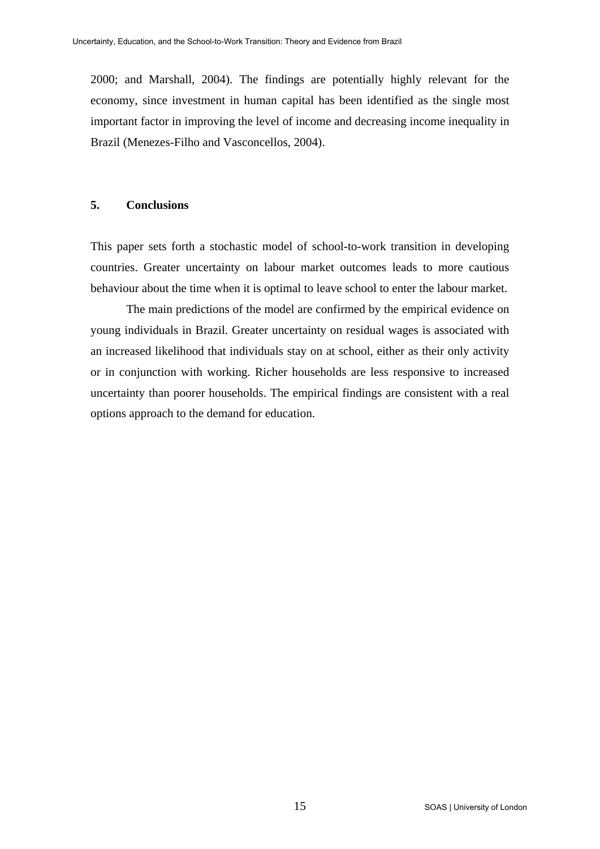2000; and Marshall, 2004). The findings are potentially highly relevant for the economy, since investment in human capital has been identified as the single most important factor in improving the level of income and decreasing income inequality in Brazil (Menezes-Filho and Vasconcellos, 2004).

### **5. Conclusions**

This paper sets forth a stochastic model of school-to-work transition in developing countries. Greater uncertainty on labour market outcomes leads to more cautious behaviour about the time when it is optimal to leave school to enter the labour market.

 The main predictions of the model are confirmed by the empirical evidence on young individuals in Brazil. Greater uncertainty on residual wages is associated with an increased likelihood that individuals stay on at school, either as their only activity or in conjunction with working. Richer households are less responsive to increased uncertainty than poorer households. The empirical findings are consistent with a real options approach to the demand for education.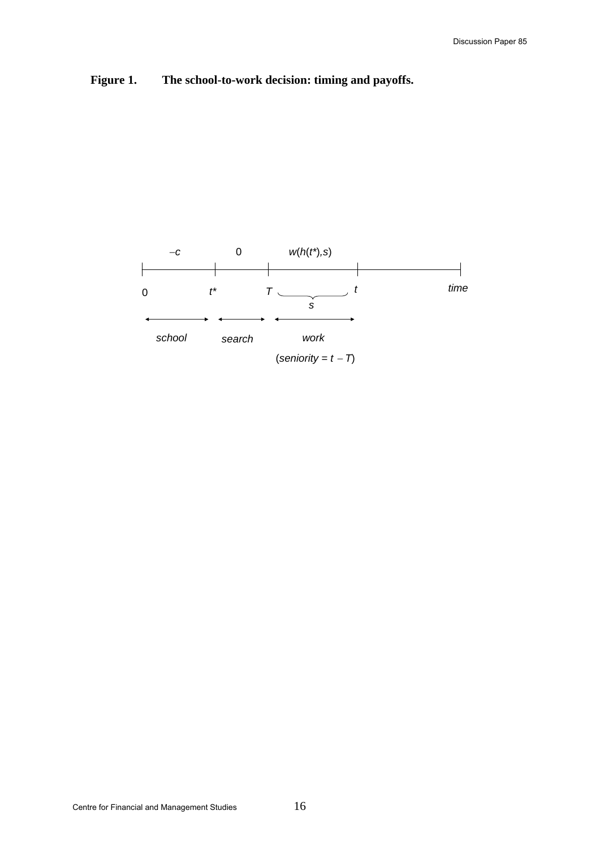

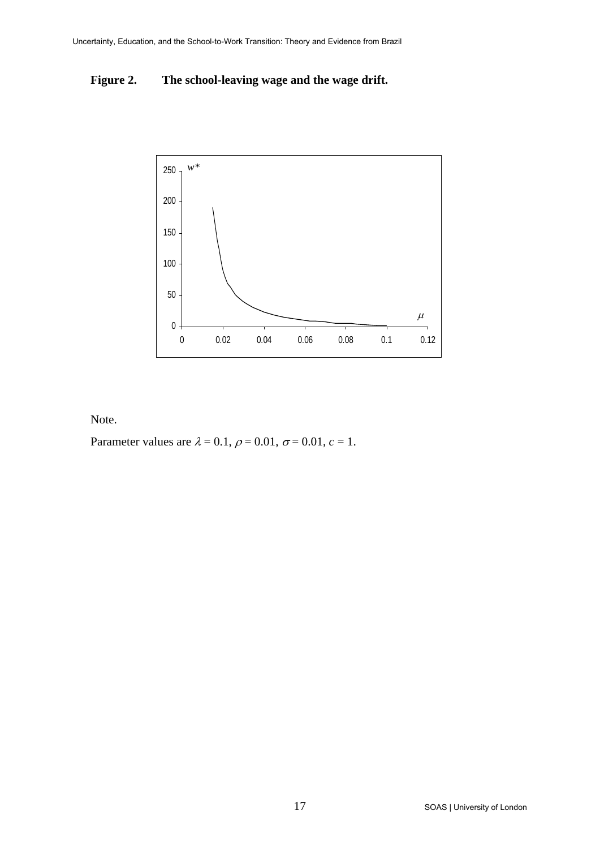### **Figure 2. The school-leaving wage and the wage drift.**



Note.

Parameter values are  $\lambda = 0.1$ ,  $\rho = 0.01$ ,  $\sigma = 0.01$ ,  $c = 1$ .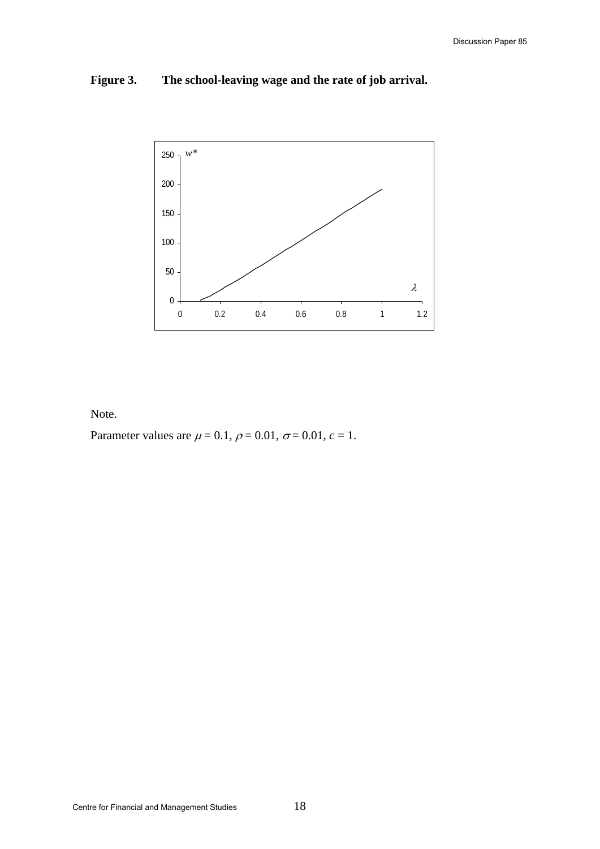### **Figure 3. The school-leaving wage and the rate of job arrival.**



Note.

Parameter values are  $\mu = 0.1$ ,  $\rho = 0.01$ ,  $\sigma = 0.01$ ,  $c = 1$ .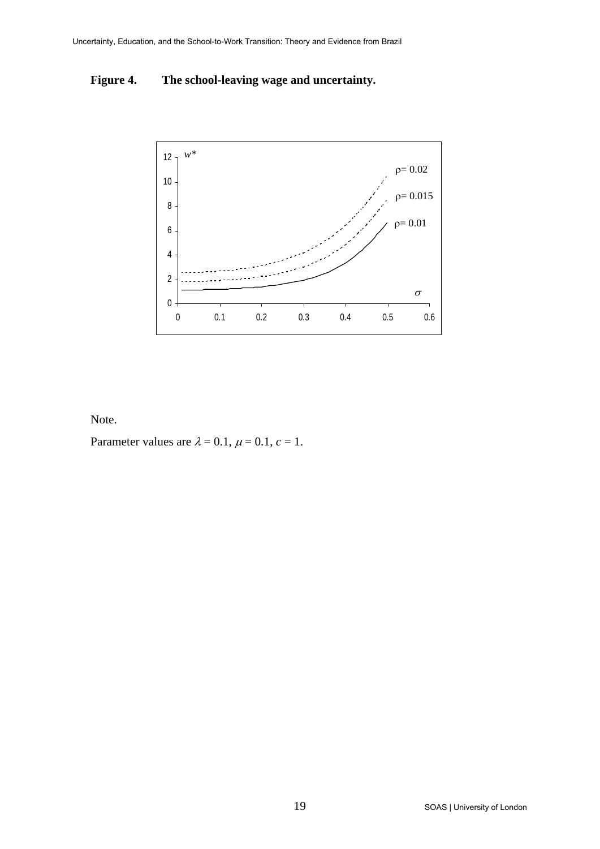### **Figure 4. The school-leaving wage and uncertainty.**



Note.

Parameter values are  $\lambda = 0.1$ ,  $\mu = 0.1$ ,  $c = 1$ .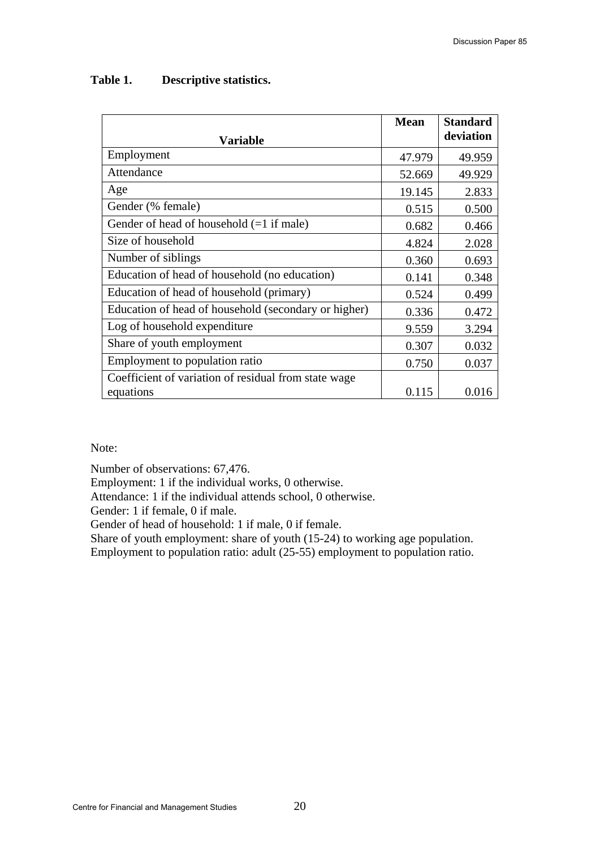| <b>Variable</b>                                      | <b>Mean</b> | <b>Standard</b><br>deviation |
|------------------------------------------------------|-------------|------------------------------|
| Employment                                           | 47.979      | 49.959                       |
| Attendance                                           | 52.669      | 49.929                       |
| Age                                                  | 19.145      | 2.833                        |
| Gender (% female)                                    | 0.515       | 0.500                        |
| Gender of head of household $(=1$ if male)           | 0.682       | 0.466                        |
| Size of household                                    | 4.824       | 2.028                        |
| Number of siblings                                   | 0.360       | 0.693                        |
| Education of head of household (no education)        | 0.141       | 0.348                        |
| Education of head of household (primary)             | 0.524       | 0.499                        |
| Education of head of household (secondary or higher) | 0.336       | 0.472                        |
| Log of household expenditure                         | 9.559       | 3.294                        |
| Share of youth employment                            | 0.307       | 0.032                        |
| Employment to population ratio                       | 0.750       | 0.037                        |
| Coefficient of variation of residual from state wage |             |                              |
| equations                                            | 0.115       | 0.016                        |

### **Table 1. Descriptive statistics.**

Note:

Number of observations: 67,476.

Employment: 1 if the individual works, 0 otherwise.

Attendance: 1 if the individual attends school, 0 otherwise.

Gender: 1 if female, 0 if male.

Gender of head of household: 1 if male, 0 if female.

Share of youth employment: share of youth (15-24) to working age population.

Employment to population ratio: adult (25-55) employment to population ratio.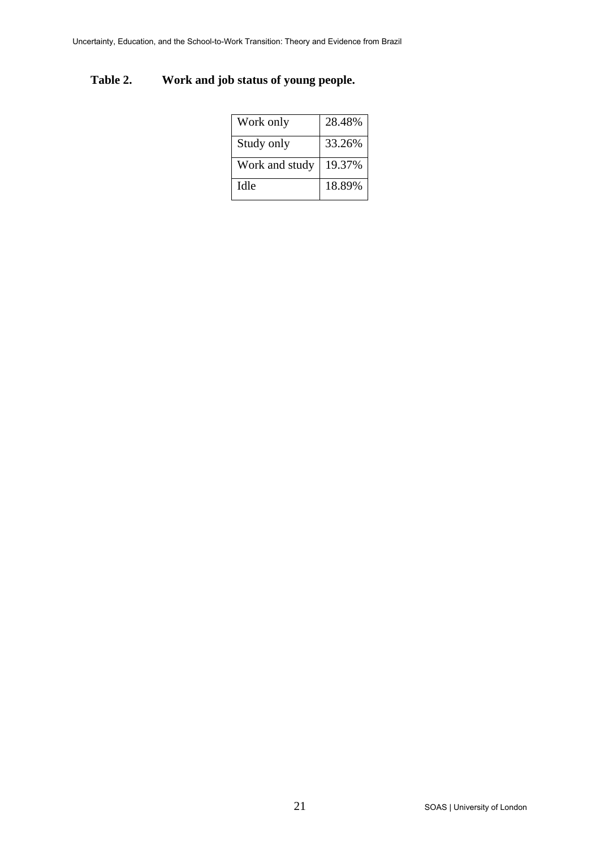## **Table 2. Work and job status of young people.**

| Work only      | 28.48% |
|----------------|--------|
| Study only     | 33.26% |
| Work and study | 19.37% |
| Idle           | 18.89% |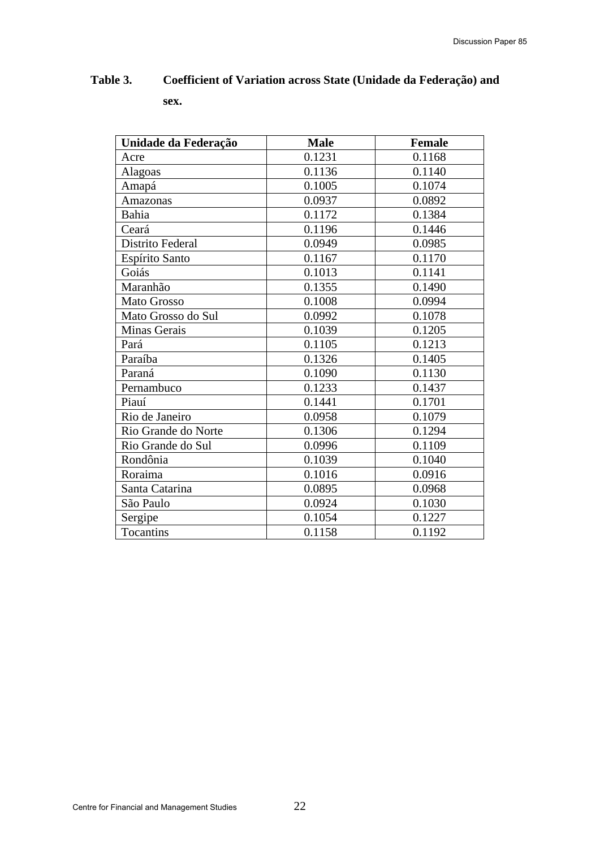| Unidade da Federação | <b>Male</b> | <b>Female</b> |
|----------------------|-------------|---------------|
| Acre                 | 0.1231      | 0.1168        |
| Alagoas              | 0.1136      | 0.1140        |
| Amapá                | 0.1005      | 0.1074        |
| Amazonas             | 0.0937      | 0.0892        |
| Bahia                | 0.1172      | 0.1384        |
| Ceará                | 0.1196      | 0.1446        |
| Distrito Federal     | 0.0949      | 0.0985        |
| Espírito Santo       | 0.1167      | 0.1170        |
| Goiás                | 0.1013      | 0.1141        |
| Maranhão             | 0.1355      | 0.1490        |
| Mato Grosso          | 0.1008      | 0.0994        |
| Mato Grosso do Sul   | 0.0992      | 0.1078        |
| Minas Gerais         | 0.1039      | 0.1205        |
| Pará                 | 0.1105      | 0.1213        |
| Paraíba              | 0.1326      | 0.1405        |
| Paraná               | 0.1090      | 0.1130        |
| Pernambuco           | 0.1233      | 0.1437        |
| Piauí                | 0.1441      | 0.1701        |
| Rio de Janeiro       | 0.0958      | 0.1079        |
| Rio Grande do Norte  | 0.1306      | 0.1294        |
| Rio Grande do Sul    | 0.0996      | 0.1109        |
| Rondônia             | 0.1039      | 0.1040        |
| Roraima              | 0.1016      | 0.0916        |
| Santa Catarina       | 0.0895      | 0.0968        |
| São Paulo            | 0.0924      | 0.1030        |
| Sergipe              | 0.1054      | 0.1227        |
| Tocantins            | 0.1158      | 0.1192        |

# **Table 3. Coefficient of Variation across State (Unidade da Federação) and sex.**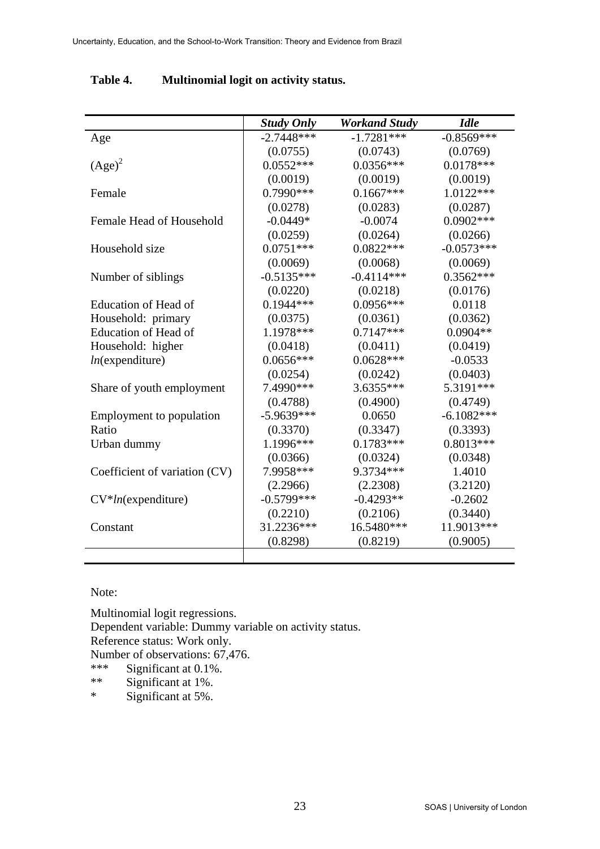|                               | <b>Study Only</b> | <b>Workand Study</b> | <b>Idle</b>  |
|-------------------------------|-------------------|----------------------|--------------|
| Age                           | $-2.7448***$      | $-1.7281***$         | $-0.8569***$ |
|                               | (0.0755)          | (0.0743)             | (0.0769)     |
| $(Age)^2$                     | $0.0552***$       | $0.0356***$          | $0.0178***$  |
|                               | (0.0019)          | (0.0019)             | (0.0019)     |
| Female                        | $0.7990***$       | $0.1667***$          | $1.0122***$  |
|                               | (0.0278)          | (0.0283)             | (0.0287)     |
| Female Head of Household      | $-0.0449*$        | $-0.0074$            | $0.0902***$  |
|                               | (0.0259)          | (0.0264)             | (0.0266)     |
| Household size                | $0.0751***$       | $0.0822***$          | $-0.0573***$ |
|                               | (0.0069)          | (0.0068)             | (0.0069)     |
| Number of siblings            | $-0.5135***$      | $-0.4114***$         | $0.3562***$  |
|                               | (0.0220)          | (0.0218)             | (0.0176)     |
| Education of Head of          | $0.1944***$       | $0.0956***$          | 0.0118       |
| Household: primary            | (0.0375)          | (0.0361)             | (0.0362)     |
| Education of Head of          | 1.1978 ***        | $0.7147***$          | $0.0904**$   |
| Household: higher             | (0.0418)          | (0.0411)             | (0.0419)     |
| $ln$ (expenditure)            | $0.0656***$       | $0.0628***$          | $-0.0533$    |
|                               | (0.0254)          | (0.0242)             | (0.0403)     |
| Share of youth employment     | 7.4990 ***        | $3.6355***$          | 5.3191***    |
|                               | (0.4788)          | (0.4900)             | (0.4749)     |
| Employment to population      | $-5.9639***$      | 0.0650               | $-6.1082***$ |
| Ratio                         | (0.3370)          | (0.3347)             | (0.3393)     |
| Urban dummy                   | 1.1996***         | $0.1783***$          | $0.8013***$  |
|                               | (0.0366)          | (0.0324)             | (0.0348)     |
| Coefficient of variation (CV) | 7.9958***         | 9.3734***            | 1.4010       |
|                               | (2.2966)          | (2.2308)             | (3.2120)     |
| $CV*ln$ (expenditure)         | $-0.5799***$      | $-0.4293**$          | $-0.2602$    |
|                               | (0.2210)          | (0.2106)             | (0.3440)     |
| Constant                      | 31.2236***        | 16.5480***           | 11.9013***   |
|                               | (0.8298)          | (0.8219)             | (0.9005)     |
|                               |                   |                      |              |

### **Table 4. Multinomial logit on activity status.**

### Note:

Multinomial logit regressions. Dependent variable: Dummy variable on activity status. Reference status: Work only. Number of observations:  $67,476$ .<br>\*\*\* Significant at 0.1% \*\*\* Significant at  $0.1\%$ .<br>\*\* Significant at  $1\%$ Significant at 1%.

\* Significant at 5%.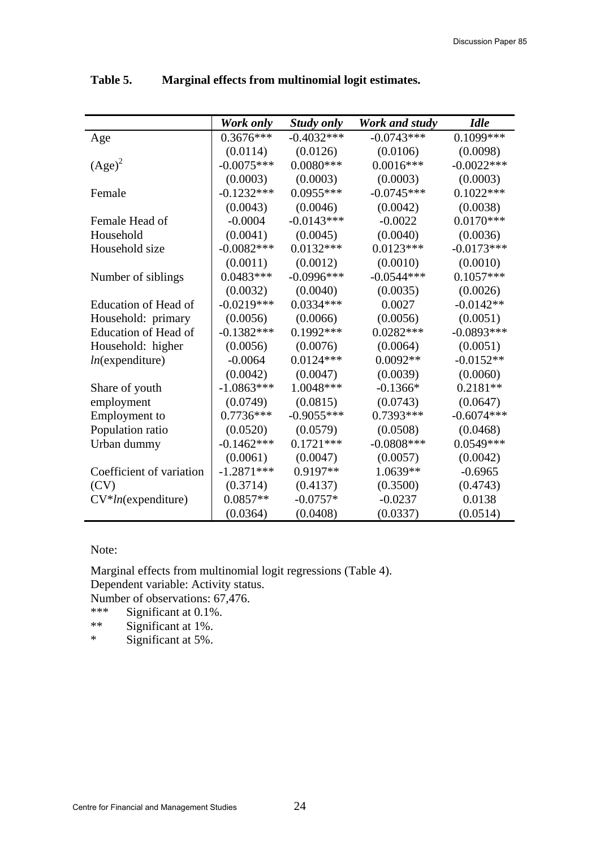|                          | Work only     | <b>Study only</b> | Work and study | <b>Idle</b>  |
|--------------------------|---------------|-------------------|----------------|--------------|
| Age                      | $0.3676***$   | $-0.4032***$      | $-0.0743***$   | $0.1099***$  |
|                          | (0.0114)      | (0.0126)          | (0.0106)       | (0.0098)     |
| $(Age)^2$                | $-0.0075***$  | $0.0080***$       | $0.0016***$    | $-0.0022***$ |
|                          | (0.0003)      | (0.0003)          | (0.0003)       | (0.0003)     |
| Female                   | $-0.1232***$  | $0.0955***$       | $-0.0745***$   | $0.1022***$  |
|                          | (0.0043)      | (0.0046)          | (0.0042)       | (0.0038)     |
| Female Head of           | $-0.0004$     | $-0.0143***$      | $-0.0022$      | $0.0170***$  |
| Household                | (0.0041)      | (0.0045)          | (0.0040)       | (0.0036)     |
| Household size           | $-0.0082***$  | $0.0132***$       | $0.0123***$    | $-0.0173***$ |
|                          | (0.0011)      | (0.0012)          | (0.0010)       | (0.0010)     |
| Number of siblings       | $0.0483***$   | $-0.0996***$      | $-0.0544***$   | $0.1057***$  |
|                          | (0.0032)      | (0.0040)          | (0.0035)       | (0.0026)     |
| Education of Head of     | $-0.0219***$  | $0.0334***$       | 0.0027         | $-0.0142**$  |
| Household: primary       | (0.0056)      | (0.0066)          | (0.0056)       | (0.0051)     |
| Education of Head of     | $-0.1382***$  | $0.1992***$       | $0.0282***$    | $-0.0893***$ |
| Household: higher        | (0.0056)      | (0.0076)          | (0.0064)       | (0.0051)     |
| $ln$ (expenditure)       | $-0.0064$     | $0.0124***$       | $0.0092**$     | $-0.0152**$  |
|                          | (0.0042)      | (0.0047)          | (0.0039)       | (0.0060)     |
| Share of youth           | $-1.0863***$  | 1.0048***         | $-0.1366*$     | $0.2181**$   |
| employment               | (0.0749)      | (0.0815)          | (0.0743)       | (0.0647)     |
| Employment to            | $0.7736***$   | $-0.9055***$      | 0.7393***      | $-0.6074***$ |
| Population ratio         | (0.0520)      | (0.0579)          | (0.0508)       | (0.0468)     |
| Urban dummy              | $-0.1462$ *** | $0.1721***$       | $-0.0808$ ***  | $0.0549***$  |
|                          | (0.0061)      | (0.0047)          | (0.0057)       | (0.0042)     |
| Coefficient of variation | $-1.2871***$  | 0.9197**          | 1.0639**       | $-0.6965$    |
| (CV)                     | (0.3714)      | (0.4137)          | (0.3500)       | (0.4743)     |
| $CV*ln$ (expenditure)    | $0.0857**$    | $-0.0757*$        | $-0.0237$      | 0.0138       |
|                          | (0.0364)      | (0.0408)          | (0.0337)       | (0.0514)     |

**Table 5. Marginal effects from multinomial logit estimates.** 

### Note:

Marginal effects from multinomial logit regressions (Table 4). Dependent variable: Activity status.

Number of observations:  $67,476$ .<br>\*\*\* Significant at 0.1%

\*\*\* Significant at  $0.1\%$ .<br>\*\* Significant at  $1\%$ 

\*\* Significant at 1%. Significant at 5%.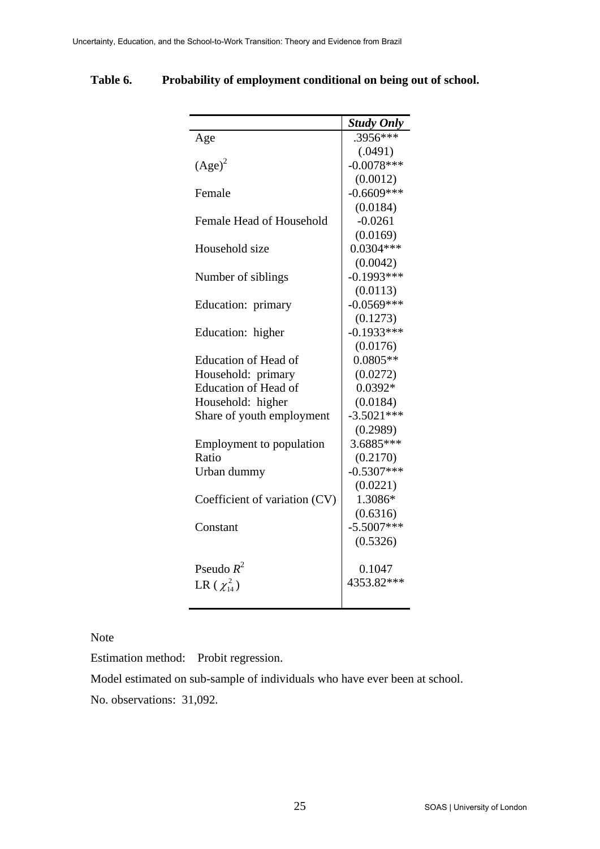|                                 | <b>Study Only</b> |
|---------------------------------|-------------------|
| Age                             | .3956***          |
|                                 | (.0491)           |
| $(Age)^2$                       | $-0.0078***$      |
|                                 | (0.0012)          |
| Female                          | $-0.6609***$      |
|                                 | (0.0184)          |
| Female Head of Household        | $-0.0261$         |
|                                 | (0.0169)          |
| Household size                  | $0.0304***$       |
|                                 | (0.0042)          |
| Number of siblings              | $-0.1993***$      |
|                                 | (0.0113)          |
| Education: primary              | $-0.0569***$      |
|                                 | (0.1273)          |
| Education: higher               | $-0.1933***$      |
|                                 | (0.0176)          |
| Education of Head of            | $0.0805**$        |
| Household: primary              | (0.0272)          |
| <b>Education of Head of</b>     | $0.0392*$         |
| Household: higher               | (0.0184)          |
| Share of youth employment       | $-3.5021***$      |
|                                 | (0.2989)          |
| <b>Employment</b> to population | 3.6885***         |
| Ratio                           | (0.2170)          |
| Urban dummy                     | $-0.5307***$      |
|                                 | (0.0221)          |
| Coefficient of variation (CV)   | 1.3086*           |
|                                 | (0.6316)          |
| Constant                        | $-5.5007***$      |
|                                 | (0.5326)          |
| Pseudo $R^2$                    | 0.1047            |
| LR $(\chi_{14}^2)$              | 4353.82***        |
|                                 |                   |

**Table 6. Probability of employment conditional on being out of school.** 

Note

Estimation method: Probit regression.

Model estimated on sub-sample of individuals who have ever been at school.

No. observations: 31,092.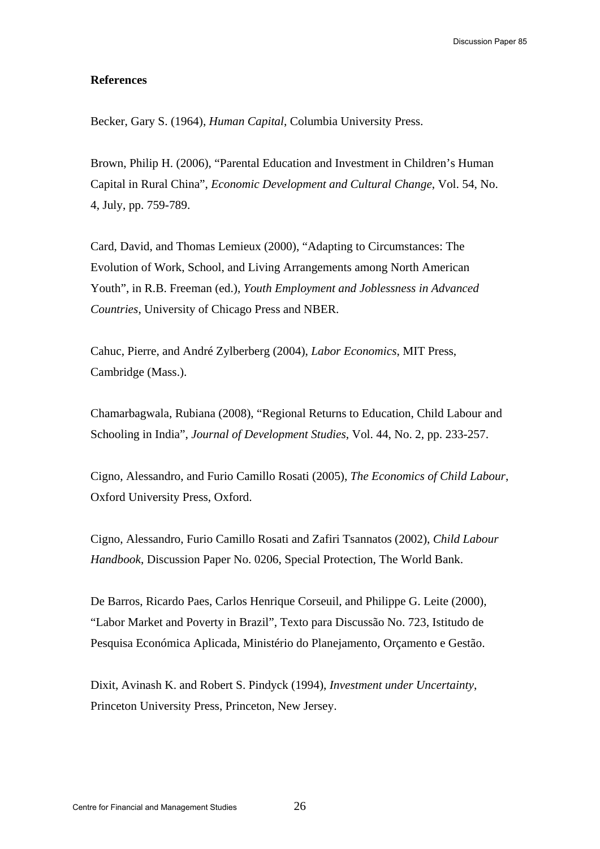#### **References**

Becker, Gary S. (1964), *Human Capital*, Columbia University Press.

Brown, Philip H. (2006), "Parental Education and Investment in Children's Human Capital in Rural China", *Economic Development and Cultural Change*, Vol. 54, No. 4, July, pp. 759-789.

Card, David, and Thomas Lemieux (2000), "Adapting to Circumstances: The Evolution of Work, School, and Living Arrangements among North American Youth", in R.B. Freeman (ed.), *Youth Employment and Joblessness in Advanced Countries*, University of Chicago Press and NBER.

Cahuc, Pierre, and André Zylberberg (2004), *Labor Economics*, MIT Press, Cambridge (Mass.).

Chamarbagwala, Rubiana (2008), "Regional Returns to Education, Child Labour and Schooling in India", *Journal of Development Studies*, Vol. 44, No. 2, pp. 233-257.

Cigno, Alessandro, and Furio Camillo Rosati (2005), *The Economics of Child Labour*, Oxford University Press, Oxford.

Cigno, Alessandro, Furio Camillo Rosati and Zafiri Tsannatos (2002), *Child Labour Handbook*, Discussion Paper No. 0206, Special Protection, The World Bank.

De Barros, Ricardo Paes, Carlos Henrique Corseuil, and Philippe G. Leite (2000), "Labor Market and Poverty in Brazil", Texto para Discussão No. 723, Istitudo de Pesquisa Económica Aplicada, Ministério do Planejamento, Orçamento e Gestão.

Dixit, Avinash K. and Robert S. Pindyck (1994), *Investment under Uncertainty*, Princeton University Press, Princeton, New Jersey.